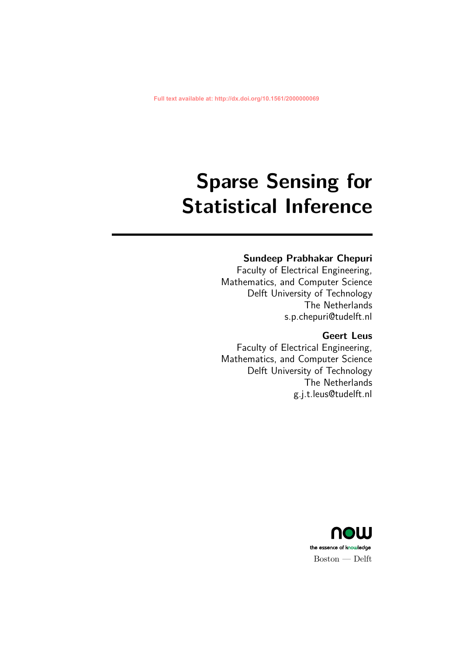# **Sparse Sensing for Statistical Inference**

## **Sundeep Prabhakar Chepuri**

Faculty of Electrical Engineering, Mathematics, and Computer Science Delft University of Technology The Netherlands s.p.chepuri@tudelft.nl

### **Geert Leus**

Faculty of Electrical Engineering, Mathematics, and Computer Science Delft University of Technology The Netherlands g.j.t.leus@tudelft.nl

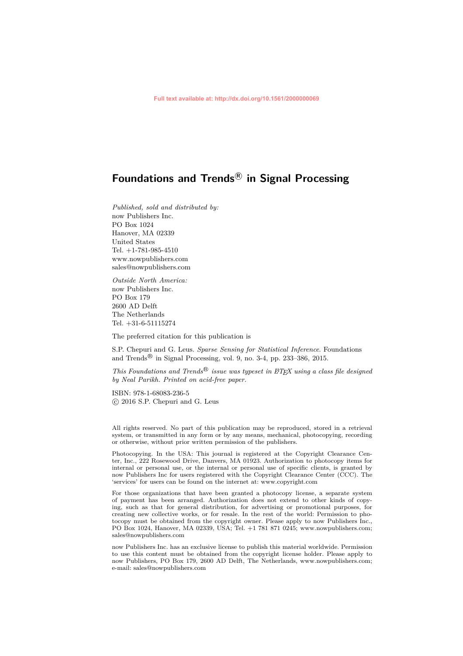# **Foundations and Trends <sup>R</sup> in Signal Processing**

*Published, sold and distributed by:* now Publishers Inc. PO Box 1024 Hanover, MA 02339 United States Tel. +1-781-985-4510 www.nowpublishers.com sales@nowpublishers.com

*Outside North America:* now Publishers Inc. PO Box 179 2600 AD Delft The Netherlands Tel. +31-6-51115274

The preferred citation for this publication is

S.P. Chepuri and G. Leus. *Sparse Sensing for Statistical Inference*. Foundations and Trends $\mathcal{B}$  in Signal Processing, vol. 9, no. 3-4, pp. 233–386, 2015.

*This Foundations and Trends*<sup>®</sup> *issue was typeset in BTEX using a class file designed by Neal Parikh. Printed on acid-free paper.*

ISBN: 978-1-68083-236-5 c 2016 S.P. Chepuri and G. Leus

All rights reserved. No part of this publication may be reproduced, stored in a retrieval system, or transmitted in any form or by any means, mechanical, photocopying, recording or otherwise, without prior written permission of the publishers.

Photocopying. In the USA: This journal is registered at the Copyright Clearance Center, Inc., 222 Rosewood Drive, Danvers, MA 01923. Authorization to photocopy items for internal or personal use, or the internal or personal use of specific clients, is granted by now Publishers Inc for users registered with the Copyright Clearance Center (CCC). The 'services' for users can be found on the internet at: www.copyright.com

For those organizations that have been granted a photocopy license, a separate system of payment has been arranged. Authorization does not extend to other kinds of copying, such as that for general distribution, for advertising or promotional purposes, for creating new collective works, or for resale. In the rest of the world: Permission to photocopy must be obtained from the copyright owner. Please apply to now Publishers Inc., PO Box 1024, Hanover, MA 02339, USA; Tel. +1 781 871 0245; www.nowpublishers.com; sales@nowpublishers.com

now Publishers Inc. has an exclusive license to publish this material worldwide. Permission to use this content must be obtained from the copyright license holder. Please apply to now Publishers, PO Box 179, 2600 AD Delft, The Netherlands, www.nowpublishers.com; e-mail: sales@nowpublishers.com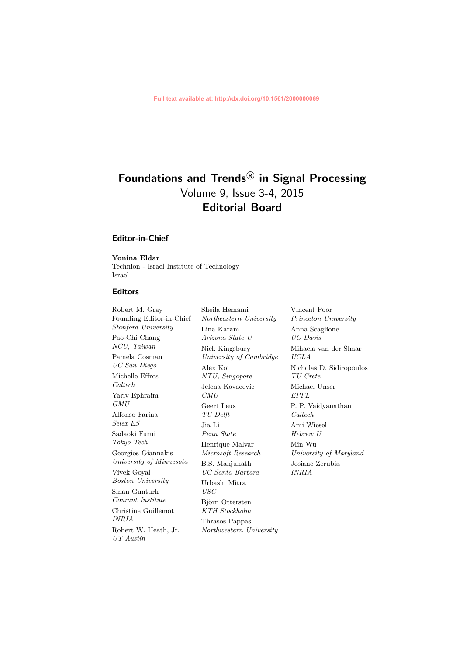# **Foundations and Trends <sup>R</sup> in Signal Processing** Volume 9, Issue 3-4, 2015 **Editorial Board**

#### **Editor-in-Chief**

**Yonina Eldar** Technion - Israel Institute of Technology Israel

#### **Editors**

| Robert M. Gray             | Sheila Hemami           |
|----------------------------|-------------------------|
| Founding Editor-in-Chief   | Northeastern University |
| <i>Stanford University</i> | Lina Karam              |
| Pao-Chi Chang              | Arizona State U         |
| NCU, Taiwan                | Nick Kingsbury          |
| Pamela Cosman              | University of Cambridge |
| UC San Diego               | Alex Kot                |
| Michelle Effros            | NTU, Singapore          |
| Caltech                    | Jelena Kovacevic        |
| Yariv Ephraim              | CMU                     |
| GMU                        | Geert Leus              |
| Alfonso Farina             | TU Delft                |
| Selex ES                   | Jia Li                  |
| Sadaoki Furui              | Penn State              |
| Tokyo Tech                 | Henrique Malvar         |
| Georgios Giannakis         | Microsoft Research      |
| University of Minnesota    | B.S. Manjunath          |
| Vivek Goyal                | UC Santa Barbara        |
| Boston University          | Urbashi Mitra           |
| Sinan Gunturk              | USC                     |
| Courant Institute          | Björn Ottersten         |
| Christine Guillemot        | <b>KTH</b> Stockholm    |
| <i>INRIA</i>               | Thrasos Pappas          |
| Robert W. Heath, Jr.       | Northwestern University |
| UT Austin                  |                         |

Vincent Poor *Princeton University* Anna Scaglione *UC Davis* Mihaela van der Shaar *UCLA* Nicholas D. Sidiropoulos *TU Crete* Michael Unser *EPFL* P. P. Vaidyanathan *Caltech* Ami Wiesel *Hebrew U* Min Wu *University of Maryland* Josiane Zerubia *INRIA*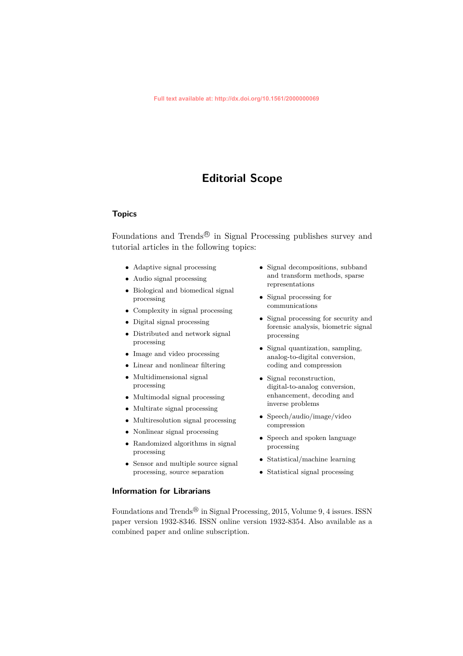# **Editorial Scope**

### **Topics**

Foundations and Trends<sup>®</sup> in Signal Processing publishes survey and tutorial articles in the following topics:

- Adaptive signal processing
- Audio signal processing
- Biological and biomedical signal processing
- Complexity in signal processing
- Digital signal processing
- Distributed and network signal processing
- Image and video processing
- Linear and nonlinear filtering
- Multidimensional signal processing
- Multimodal signal processing
- Multirate signal processing
- Multiresolution signal processing
- Nonlinear signal processing
- Randomized algorithms in signal processing
- Sensor and multiple source signal processing, source separation

#### • Signal decompositions, subband and transform methods, sparse representations

- Signal processing for communications
- Signal processing for security and forensic analysis, biometric signal processing
- Signal quantization, sampling, analog-to-digital conversion, coding and compression
- Signal reconstruction, digital-to-analog conversion, enhancement, decoding and inverse problems
- Speech/audio/image/video compression
- Speech and spoken language processing
- Statistical/machine learning
- Statistical signal processing

### **Information for Librarians**

Foundations and Trends<sup>®</sup> in Signal Processing, 2015, Volume 9, 4 issues. ISSN paper version 1932-8346. ISSN online version 1932-8354. Also available as a combined paper and online subscription.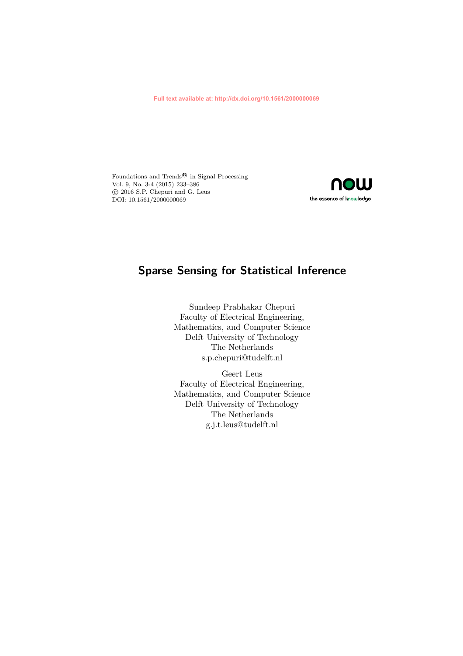Foundations and Trends<sup>®</sup> in Signal Processing Vol. 9, No. 3-4 (2015) 233–386 c 2016 S.P. Chepuri and G. Leus DOI: 10.1561/2000000069



# **Sparse Sensing for Statistical Inference**

Sundeep Prabhakar Chepuri Faculty of Electrical Engineering, Mathematics, and Computer Science Delft University of Technology The Netherlands s.p.chepuri@tudelft.nl

Geert Leus Faculty of Electrical Engineering, Mathematics, and Computer Science Delft University of Technology The Netherlands g.j.t.leus@tudelft.nl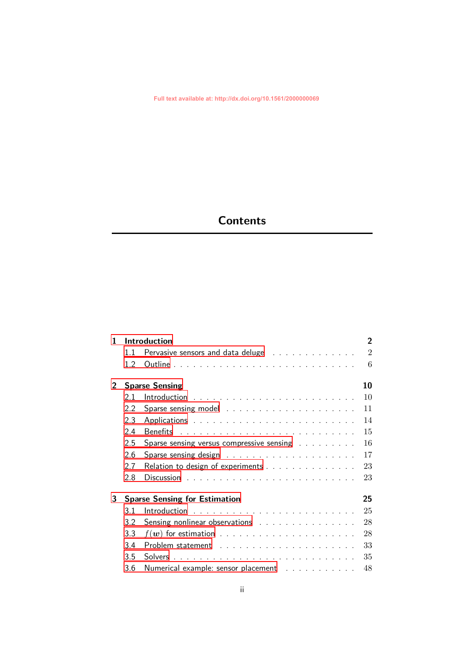# **Contents**

| 1 | <b>Introduction</b> |                                                                                              |                |
|---|---------------------|----------------------------------------------------------------------------------------------|----------------|
|   | 1.1                 | Pervasive sensors and data deluge                                                            | $\overline{2}$ |
|   | 1.2                 |                                                                                              | 6              |
| 2 |                     | <b>Sparse Sensing</b>                                                                        | 10             |
|   | 2.1                 |                                                                                              | 10             |
|   | 2.2                 |                                                                                              | 11             |
|   | 2.3                 |                                                                                              | 14             |
|   | 2.4                 |                                                                                              | 15             |
|   | 2.5                 | Sparse sensing versus compressive sensing rational contacts                                  | 16             |
|   | 2.6                 |                                                                                              | 17             |
|   | 2.7                 | Relation to design of experiments                                                            | 23             |
|   | 2.8                 |                                                                                              | 23             |
| 3 |                     | <b>Sparse Sensing for Estimation</b>                                                         | 25             |
|   | 3.1                 |                                                                                              | 25             |
|   | 3.2                 | Sensing nonlinear observations                                                               | 28             |
|   | 3.3                 | $f(\boldsymbol{w})$ for estimation $\ldots \ldots \ldots \ldots \ldots \ldots \ldots \ldots$ | 28             |
|   | 3.4                 |                                                                                              | 33             |
|   | 3.5                 |                                                                                              | 35             |
|   | 3.6                 | Numerical example: sensor placement resonances in the sensus in the Numerical sexual sensus. | 48             |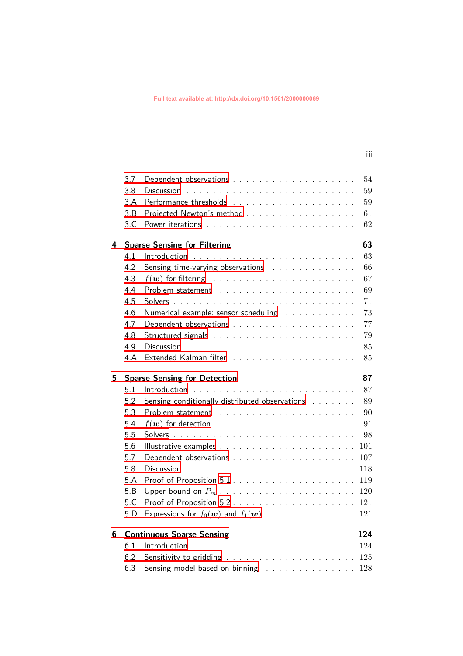|   |     | iii                                                                                                                   |
|---|-----|-----------------------------------------------------------------------------------------------------------------------|
|   |     |                                                                                                                       |
|   | 3.7 | 54                                                                                                                    |
|   | 3.8 | 59                                                                                                                    |
|   | 3.A | 59                                                                                                                    |
|   | 3.B | Projected Newton's method<br>61                                                                                       |
|   | 3.C | 62                                                                                                                    |
| 4 |     | 63<br><b>Sparse Sensing for Filtering</b>                                                                             |
|   | 4.1 | 63                                                                                                                    |
|   | 4.2 | 66<br>Sensing time-varying observations                                                                               |
|   | 4.3 | 67<br>$f(\boldsymbol{w})$ for filtering $\quad \ldots \ldots \ldots \ldots \ldots \ldots \ldots \ldots \ldots \ldots$ |
|   | 4.4 | 69                                                                                                                    |
|   | 4.5 | 71                                                                                                                    |
|   | 4.6 | 73<br>Numerical example: sensor scheduling rational contracts                                                         |
|   | 4.7 | 77                                                                                                                    |
|   | 4.8 | 79                                                                                                                    |
|   | 4.9 | 85                                                                                                                    |
|   | 4.A | 85                                                                                                                    |
| 5 |     | 87<br><b>Sparse Sensing for Detection</b>                                                                             |
|   | 5.1 | 87                                                                                                                    |
|   | 5.2 | Sensing conditionally distributed observations<br>89                                                                  |
|   | 5.3 | 90                                                                                                                    |
|   | 5.4 | 91                                                                                                                    |
|   | 5.5 | 98                                                                                                                    |
|   | 5.6 | 101                                                                                                                   |
|   | 5.7 | 107                                                                                                                   |
|   | 5.8 | 118                                                                                                                   |
|   | 5.A | 119                                                                                                                   |
|   | 5.B | 120                                                                                                                   |
|   | 5.C | Proof of Proposition 5.2<br>121                                                                                       |
|   | 5.D | Expressions for $f_0(\boldsymbol{w})$ and $f_1(\boldsymbol{w})$<br>121                                                |
|   |     |                                                                                                                       |
| 6 |     | <b>Continuous Sparse Sensing</b><br>124                                                                               |
|   | 6.1 | 124                                                                                                                   |
|   | 6.2 | 125                                                                                                                   |
|   | 6.3 | Sensing model based on binning<br>128                                                                                 |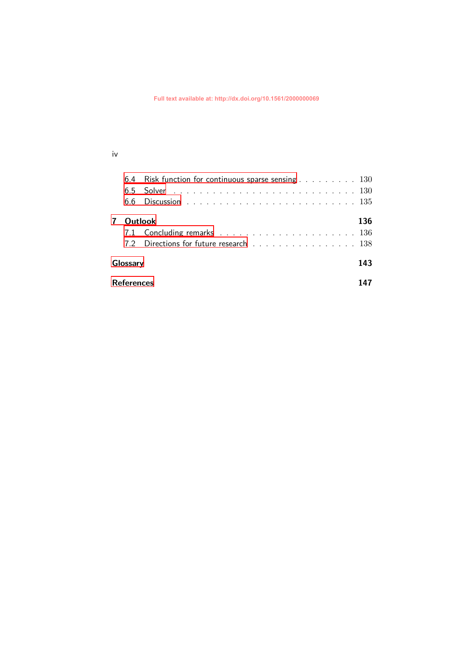#### iv

|            |                | 6.4 Risk function for continuous sparse sensing 130 |     |  |  |
|------------|----------------|-----------------------------------------------------|-----|--|--|
|            |                |                                                     |     |  |  |
|            | 6.6            |                                                     |     |  |  |
| 7          | <b>Outlook</b> |                                                     | 136 |  |  |
|            |                |                                                     |     |  |  |
|            |                | 7.2 Directions for future research 138              |     |  |  |
| Glossary   |                |                                                     |     |  |  |
| References |                |                                                     |     |  |  |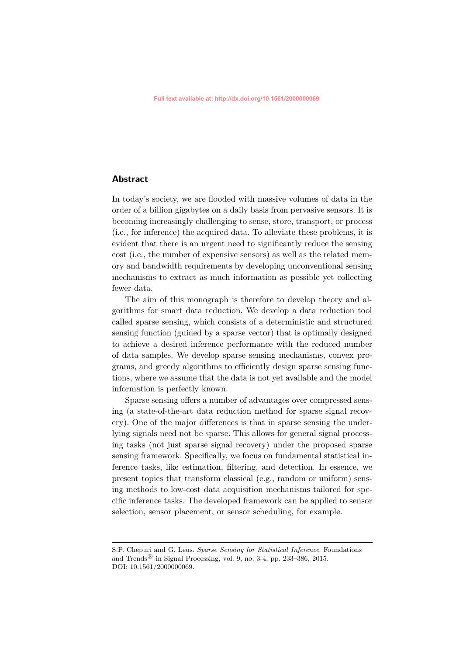#### **Abstract**

In today's society, we are flooded with massive volumes of data in the order of a billion gigabytes on a daily basis from pervasive sensors. It is becoming increasingly challenging to sense, store, transport, or process (i.e., for inference) the acquired data. To alleviate these problems, it is evident that there is an urgent need to significantly reduce the sensing cost (i.e., the number of expensive sensors) as well as the related memory and bandwidth requirements by developing unconventional sensing mechanisms to extract as much information as possible yet collecting fewer data.

The aim of this monograph is therefore to develop theory and algorithms for smart data reduction. We develop a data reduction tool called sparse sensing, which consists of a deterministic and structured sensing function (guided by a sparse vector) that is optimally designed to achieve a desired inference performance with the reduced number of data samples. We develop sparse sensing mechanisms, convex programs, and greedy algorithms to efficiently design sparse sensing functions, where we assume that the data is not yet available and the model information is perfectly known.

Sparse sensing offers a number of advantages over compressed sensing (a state-of-the-art data reduction method for sparse signal recovery). One of the major differences is that in sparse sensing the underlying signals need not be sparse. This allows for general signal processing tasks (not just sparse signal recovery) under the proposed sparse sensing framework. Specifically, we focus on fundamental statistical inference tasks, like estimation, filtering, and detection. In essence, we present topics that transform classical (e.g., random or uniform) sensing methods to low-cost data acquisition mechanisms tailored for specific inference tasks. The developed framework can be applied to sensor selection, sensor placement, or sensor scheduling, for example.

S.P. Chepuri and G. Leus. *Sparse Sensing for Statistical Inference*. Foundations and Trends $\mathcal{B}$  in Signal Processing, vol. 9, no. 3-4, pp. 233–386, 2015. DOI: 10.1561/2000000069.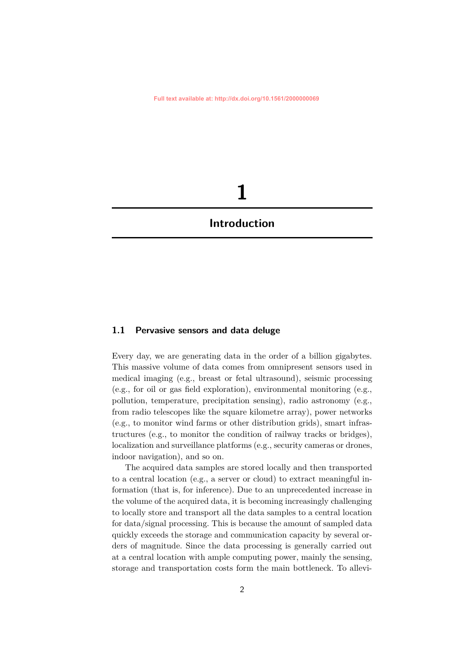# **1**

# <span id="page-9-0"></span>**Introduction**

### <span id="page-9-1"></span>**1.1 Pervasive sensors and data deluge**

Every day, we are generating data in the order of a billion gigabytes. This massive volume of data comes from omnipresent sensors used in medical imaging (e.g., breast or fetal ultrasound), seismic processing (e.g., for oil or gas field exploration), environmental monitoring (e.g., pollution, temperature, precipitation sensing), radio astronomy (e.g., from radio telescopes like the square kilometre array), power networks (e.g., to monitor wind farms or other distribution grids), smart infrastructures (e.g., to monitor the condition of railway tracks or bridges), localization and surveillance platforms (e.g., security cameras or drones, indoor navigation), and so on.

The acquired data samples are stored locally and then transported to a central location (e.g., a server or cloud) to extract meaningful information (that is, for inference). Due to an unprecedented increase in the volume of the acquired data, it is becoming increasingly challenging to locally store and transport all the data samples to a central location for data/signal processing. This is because the amount of sampled data quickly exceeds the storage and communication capacity by several orders of magnitude. Since the data processing is generally carried out at a central location with ample computing power, mainly the sensing, storage and transportation costs form the main bottleneck. To allevi-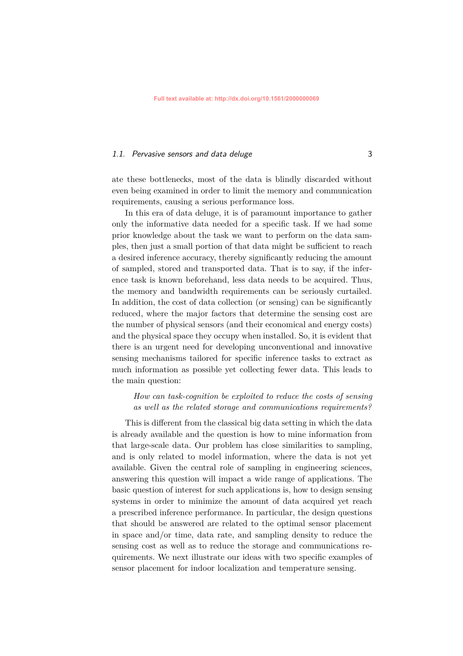#### *1.1. Pervasive sensors and data deluge* 3

ate these bottlenecks, most of the data is blindly discarded without even being examined in order to limit the memory and communication requirements, causing a serious performance loss.

In this era of data deluge, it is of paramount importance to gather only the informative data needed for a specific task. If we had some prior knowledge about the task we want to perform on the data samples, then just a small portion of that data might be sufficient to reach a desired inference accuracy, thereby significantly reducing the amount of sampled, stored and transported data. That is to say, if the inference task is known beforehand, less data needs to be acquired. Thus, the memory and bandwidth requirements can be seriously curtailed. In addition, the cost of data collection (or sensing) can be significantly reduced, where the major factors that determine the sensing cost are the number of physical sensors (and their economical and energy costs) and the physical space they occupy when installed. So, it is evident that there is an urgent need for developing unconventional and innovative sensing mechanisms tailored for specific inference tasks to extract as much information as possible yet collecting fewer data. This leads to the main question:

#### *How can task-cognition be exploited to reduce the costs of sensing as well as the related storage and communications requirements?*

This is different from the classical big data setting in which the data is already available and the question is how to mine information from that large-scale data. Our problem has close similarities to sampling, and is only related to model information, where the data is not yet available. Given the central role of sampling in engineering sciences, answering this question will impact a wide range of applications. The basic question of interest for such applications is, how to design sensing systems in order to minimize the amount of data acquired yet reach a prescribed inference performance. In particular, the design questions that should be answered are related to the optimal sensor placement in space and/or time, data rate, and sampling density to reduce the sensing cost as well as to reduce the storage and communications requirements. We next illustrate our ideas with two specific examples of sensor placement for indoor localization and temperature sensing.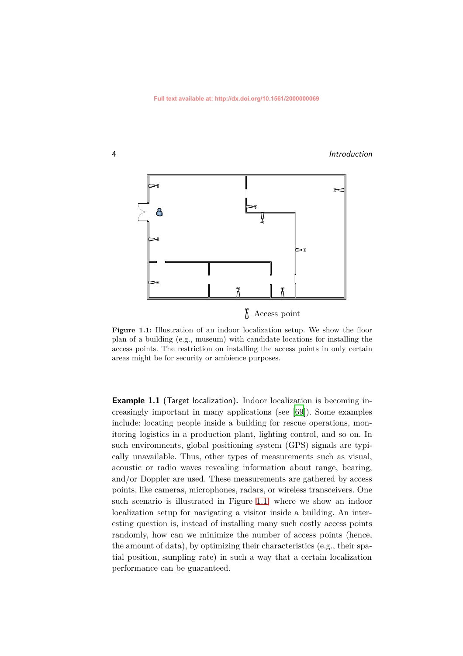#### <span id="page-11-0"></span>4 *Introduction*



**Figure 1.1:** Illustration of an indoor localization setup. We show the floor plan of a building (e.g., museum) with candidate locations for installing the access points. The restriction on installing the access points in only certain areas might be for security or ambience purposes.

**Example 1.1** (Target localization)**.** Indoor localization is becoming increasingly important in many applications (see [\[69\]](#page-22-0)). Some examples include: locating people inside a building for rescue operations, monitoring logistics in a production plant, lighting control, and so on. In such environments, global positioning system (GPS) signals are typically unavailable. Thus, other types of measurements such as visual, acoustic or radio waves revealing information about range, bearing, and/or Doppler are used. These measurements are gathered by access points, like cameras, microphones, radars, or wireless transceivers. One such scenario is illustrated in Figure [1.1,](#page-11-0) where we show an indoor localization setup for navigating a visitor inside a building. An interesting question is, instead of installing many such costly access points randomly, how can we minimize the number of access points (hence, the amount of data), by optimizing their characteristics (e.g., their spatial position, sampling rate) in such a way that a certain localization performance can be guaranteed.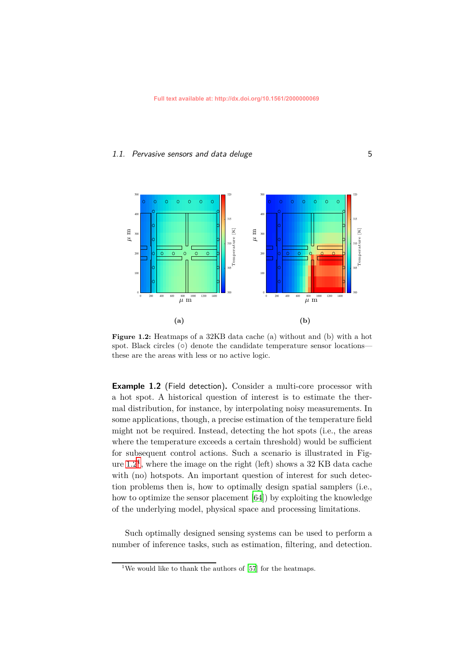#### <span id="page-12-0"></span>*1.1. Pervasive sensors and data deluge* 5



**Figure 1.2:** Heatmaps of a 32KB data cache (a) without and (b) with a hot spot. Black circles (◦) denote the candidate temperature sensor locations these are the areas with less or no active logic.

**Example 1.2** (Field detection)**.** Consider a multi-core processor with a hot spot. A historical question of interest is to estimate the thermal distribution, for instance, by interpolating noisy measurements. In some applications, though, a precise estimation of the temperature field might not be required. Instead, detecting the hot spots (i.e., the areas where the temperature exceeds a certain threshold) would be sufficient for subsequent control actions. Such a scenario is illustrated in Figure  $1.2<sup>1</sup>$  $1.2<sup>1</sup>$ , where the image on the right (left) shows a 32 KB data cache with (no) hotspots. An important question of interest for such detection problems then is, how to optimally design spatial samplers (i.e., how to optimize the sensor placement [\[64](#page-22-1)]) by exploiting the knowledge of the underlying model, physical space and processing limitations.

Such optimally designed sensing systems can be used to perform a number of inference tasks, such as estimation, filtering, and detection.

<span id="page-12-1"></span><sup>&</sup>lt;sup>1</sup>We would like to thank the authors of  $[57]$  for the heatmaps.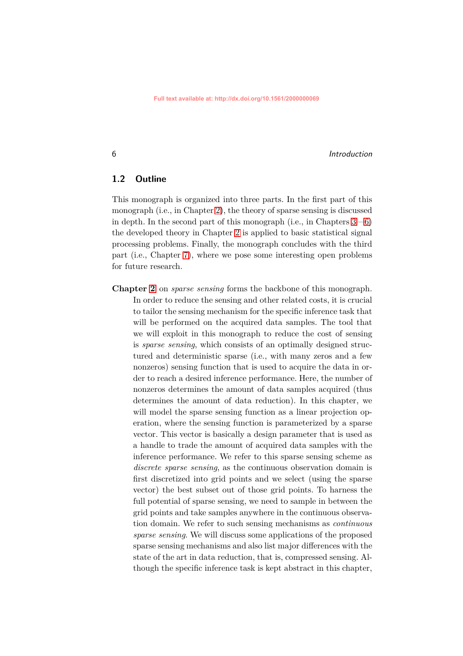#### 6 *Introduction*

#### <span id="page-13-0"></span>**1.2 Outline**

This monograph is organized into three parts. In the first part of this monograph (i.e., in Chapter [2\)](#page--1-0), the theory of sparse sensing is discussed in depth. In the second part of this monograph (i.e., in Chapters [3—6\)](#page--1-0) the developed theory in Chapter [2](#page--1-0) is applied to basic statistical signal processing problems. Finally, the monograph concludes with the third part (i.e., Chapter [7\)](#page--1-0), where we pose some interesting open problems for future research.

**Chapter [2](#page--1-0)** on *sparse sensing* forms the backbone of this monograph. In order to reduce the sensing and other related costs, it is crucial to tailor the sensing mechanism for the specific inference task that will be performed on the acquired data samples. The tool that we will exploit in this monograph to reduce the cost of sensing is *sparse sensing*, which consists of an optimally designed structured and deterministic sparse (i.e., with many zeros and a few nonzeros) sensing function that is used to acquire the data in order to reach a desired inference performance. Here, the number of nonzeros determines the amount of data samples acquired (thus determines the amount of data reduction). In this chapter, we will model the sparse sensing function as a linear projection operation, where the sensing function is parameterized by a sparse vector. This vector is basically a design parameter that is used as a handle to trade the amount of acquired data samples with the inference performance. We refer to this sparse sensing scheme as *discrete sparse sensing*, as the continuous observation domain is first discretized into grid points and we select (using the sparse vector) the best subset out of those grid points. To harness the full potential of sparse sensing, we need to sample in between the grid points and take samples anywhere in the continuous observation domain. We refer to such sensing mechanisms as *continuous sparse sensing*. We will discuss some applications of the proposed sparse sensing mechanisms and also list major differences with the state of the art in data reduction, that is, compressed sensing. Although the specific inference task is kept abstract in this chapter,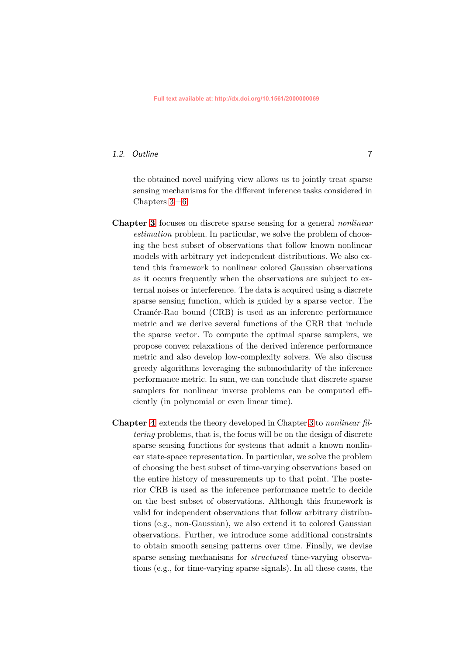#### *1.2. Outline* 7

the obtained novel unifying view allows us to jointly treat sparse sensing mechanisms for the different inference tasks considered in Chapters [3—6.](#page--1-0)

- **Chapter [3](#page--1-0)** focuses on discrete sparse sensing for a general *nonlinear estimation* problem. In particular, we solve the problem of choosing the best subset of observations that follow known nonlinear models with arbitrary yet independent distributions. We also extend this framework to nonlinear colored Gaussian observations as it occurs frequently when the observations are subject to external noises or interference. The data is acquired using a discrete sparse sensing function, which is guided by a sparse vector. The Cramér-Rao bound (CRB) is used as an inference performance metric and we derive several functions of the CRB that include the sparse vector. To compute the optimal sparse samplers, we propose convex relaxations of the derived inference performance metric and also develop low-complexity solvers. We also discuss greedy algorithms leveraging the submodularity of the inference performance metric. In sum, we can conclude that discrete sparse samplers for nonlinear inverse problems can be computed efficiently (in polynomial or even linear time).
- **Chapter [4](#page--1-0)** extends the theory developed in Chapter [3](#page--1-0) to *nonlinear filtering* problems, that is, the focus will be on the design of discrete sparse sensing functions for systems that admit a known nonlinear state-space representation. In particular, we solve the problem of choosing the best subset of time-varying observations based on the entire history of measurements up to that point. The posterior CRB is used as the inference performance metric to decide on the best subset of observations. Although this framework is valid for independent observations that follow arbitrary distributions (e.g., non-Gaussian), we also extend it to colored Gaussian observations. Further, we introduce some additional constraints to obtain smooth sensing patterns over time. Finally, we devise sparse sensing mechanisms for *structured* time-varying observations (e.g., for time-varying sparse signals). In all these cases, the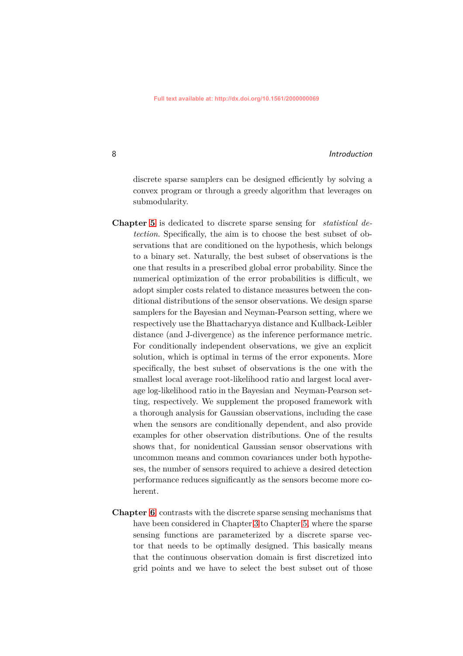#### 8 *Introduction*

discrete sparse samplers can be designed efficiently by solving a convex program or through a greedy algorithm that leverages on submodularity.

- **Chapter [5](#page--1-0)** is dedicated to discrete sparse sensing for *statistical detection*. Specifically, the aim is to choose the best subset of observations that are conditioned on the hypothesis, which belongs to a binary set. Naturally, the best subset of observations is the one that results in a prescribed global error probability. Since the numerical optimization of the error probabilities is difficult, we adopt simpler costs related to distance measures between the conditional distributions of the sensor observations. We design sparse samplers for the Bayesian and Neyman-Pearson setting, where we respectively use the Bhattacharyya distance and Kullback-Leibler distance (and J-divergence) as the inference performance metric. For conditionally independent observations, we give an explicit solution, which is optimal in terms of the error exponents. More specifically, the best subset of observations is the one with the smallest local average root-likelihood ratio and largest local average log-likelihood ratio in the Bayesian and Neyman-Pearson setting, respectively. We supplement the proposed framework with a thorough analysis for Gaussian observations, including the case when the sensors are conditionally dependent, and also provide examples for other observation distributions. One of the results shows that, for nonidentical Gaussian sensor observations with uncommon means and common covariances under both hypotheses, the number of sensors required to achieve a desired detection performance reduces significantly as the sensors become more coherent.
- **Chapter [6](#page--1-0)** contrasts with the discrete sparse sensing mechanisms that have been considered in Chapter [3](#page--1-0) to Chapter [5,](#page--1-0) where the sparse sensing functions are parameterized by a discrete sparse vector that needs to be optimally designed. This basically means that the continuous observation domain is first discretized into grid points and we have to select the best subset out of those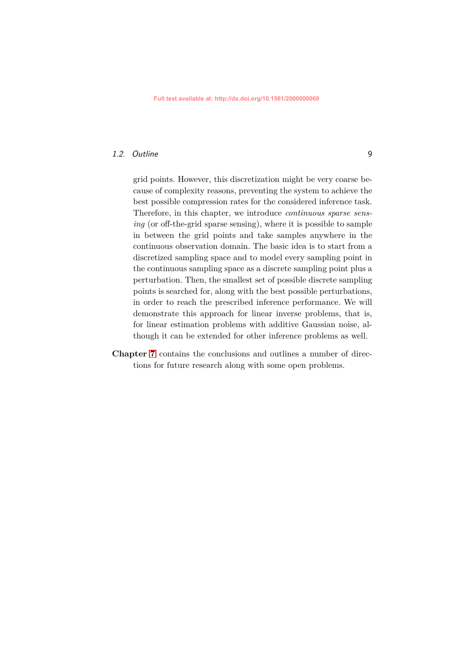#### *1.2. Outline* 9

grid points. However, this discretization might be very coarse because of complexity reasons, preventing the system to achieve the best possible compression rates for the considered inference task. Therefore, in this chapter, we introduce *continuous sparse sensing* (or off-the-grid sparse sensing), where it is possible to sample in between the grid points and take samples anywhere in the continuous observation domain. The basic idea is to start from a discretized sampling space and to model every sampling point in the continuous sampling space as a discrete sampling point plus a perturbation. Then, the smallest set of possible discrete sampling points is searched for, along with the best possible perturbations, in order to reach the prescribed inference performance. We will demonstrate this approach for linear inverse problems, that is, for linear estimation problems with additive Gaussian noise, although it can be extended for other inference problems as well.

**Chapter [7](#page--1-0)** contains the conclusions and outlines a number of directions for future research along with some open problems.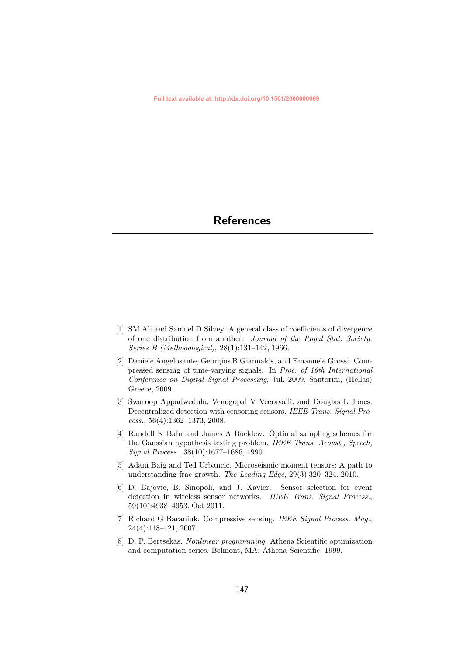- <span id="page-17-0"></span>[1] SM Ali and Samuel D Silvey. A general class of coefficients of divergence of one distribution from another. *Journal of the Royal Stat. Society. Series B (Methodological)*, 28(1):131–142, 1966.
- [2] Daniele Angelosante, Georgios B Giannakis, and Emanuele Grossi. Compressed sensing of time-varying signals. In *Proc. of 16th International Conference on Digital Signal Processing*, Jul. 2009, Santorini, (Hellas) Greece, 2009.
- [3] Swaroop Appadwedula, Venugopal V Veeravalli, and Douglas L Jones. Decentralized detection with censoring sensors. *IEEE Trans. Signal Process.*, 56(4):1362–1373, 2008.
- [4] Randall K Bahr and James A Bucklew. Optimal sampling schemes for the Gaussian hypothesis testing problem. *IEEE Trans. Acoust., Speech, Signal Process.*, 38(10):1677–1686, 1990.
- [5] Adam Baig and Ted Urbancic. Microseismic moment tensors: A path to understanding frac growth. *The Leading Edge*, 29(3):320–324, 2010.
- [6] D. Bajovic, B. Sinopoli, and J. Xavier. Sensor selection for event detection in wireless sensor networks. *IEEE Trans. Signal Process.*, 59(10):4938–4953, Oct 2011.
- [7] Richard G Baraniuk. Compressive sensing. *IEEE Signal Process. Mag.*, 24(4):118–121, 2007.
- [8] D. P. Bertsekas. *Nonlinear programming*. Athena Scientific optimization and computation series. Belmont, MA: Athena Scientific, 1999.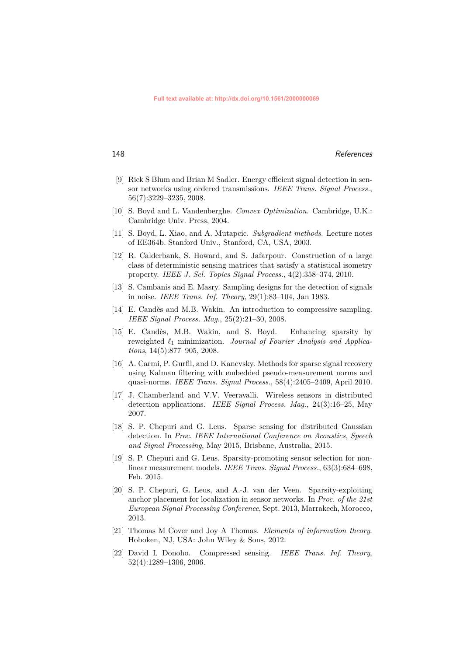- [9] Rick S Blum and Brian M Sadler. Energy efficient signal detection in sensor networks using ordered transmissions. *IEEE Trans. Signal Process.*, 56(7):3229–3235, 2008.
- [10] S. Boyd and L. Vandenberghe. *Convex Optimization*. Cambridge, U.K.: Cambridge Univ. Press, 2004.
- [11] S. Boyd, L. Xiao, and A. Mutapcic. *Subgradient methods*. Lecture notes of EE364b. Stanford Univ., Stanford, CA, USA, 2003.
- [12] R. Calderbank, S. Howard, and S. Jafarpour. Construction of a large class of deterministic sensing matrices that satisfy a statistical isometry property. *IEEE J. Sel. Topics Signal Process.*, 4(2):358–374, 2010.
- [13] S. Cambanis and E. Masry. Sampling designs for the detection of signals in noise. *IEEE Trans. Inf. Theory*, 29(1):83–104, Jan 1983.
- [14] E. Candès and M.B. Wakin. An introduction to compressive sampling. *IEEE Signal Process. Mag.*, 25(2):21–30, 2008.
- [15] E. Candès, M.B. Wakin, and S. Boyd. Enhancing sparsity by reweighted *ℓ*<sup>1</sup> minimization. *Journal of Fourier Analysis and Applications*, 14(5):877–905, 2008.
- [16] A. Carmi, P. Gurfil, and D. Kanevsky. Methods for sparse signal recovery using Kalman filtering with embedded pseudo-measurement norms and quasi-norms. *IEEE Trans. Signal Process.*, 58(4):2405–2409, April 2010.
- [17] J. Chamberland and V.V. Veeravalli. Wireless sensors in distributed detection applications. *IEEE Signal Process. Mag.*, 24(3):16–25, May 2007.
- [18] S. P. Chepuri and G. Leus. Sparse sensing for distributed Gaussian detection. In *Proc. IEEE International Conference on Acoustics, Speech and Signal Processing*, May 2015, Brisbane, Australia, 2015.
- [19] S. P. Chepuri and G. Leus. Sparsity-promoting sensor selection for nonlinear measurement models. *IEEE Trans. Signal Process.*, 63(3):684–698, Feb. 2015.
- [20] S. P. Chepuri, G. Leus, and A.-J. van der Veen. Sparsity-exploiting anchor placement for localization in sensor networks. In *Proc. of the 21st European Signal Processing Conference*, Sept. 2013, Marrakech, Morocco, 2013.
- [21] Thomas M Cover and Joy A Thomas. *Elements of information theory*. Hoboken, NJ, USA: John Wiley & Sons, 2012.
- [22] David L Donoho. Compressed sensing. *IEEE Trans. Inf. Theory*, 52(4):1289–1306, 2006.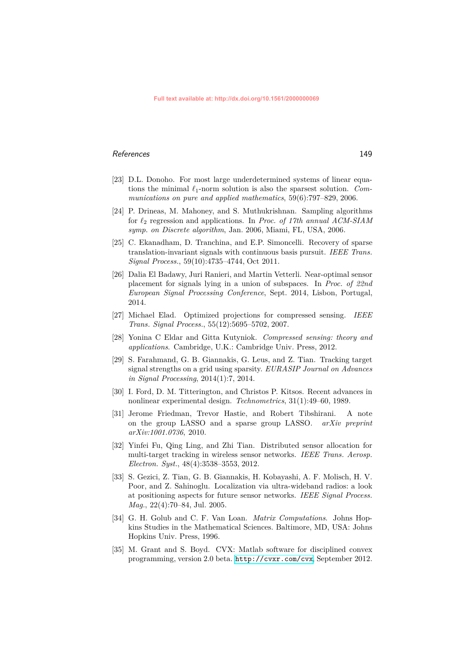- [23] D.L. Donoho. For most large underdetermined systems of linear equations the minimal *ℓ*1-norm solution is also the sparsest solution. *Communications on pure and applied mathematics*, 59(6):797–829, 2006.
- [24] P. Drineas, M. Mahoney, and S. Muthukrishnan. Sampling algorithms for *ℓ*<sup>2</sup> regression and applications. In *Proc. of 17th annual ACM-SIAM symp. on Discrete algorithm*, Jan. 2006, Miami, FL, USA, 2006.
- [25] C. Ekanadham, D. Tranchina, and E.P. Simoncelli. Recovery of sparse translation-invariant signals with continuous basis pursuit. *IEEE Trans. Signal Process.*, 59(10):4735–4744, Oct 2011.
- [26] Dalia El Badawy, Juri Ranieri, and Martin Vetterli. Near-optimal sensor placement for signals lying in a union of subspaces. In *Proc. of 22nd European Signal Processing Conference*, Sept. 2014, Lisbon, Portugal, 2014.
- [27] Michael Elad. Optimized projections for compressed sensing. *IEEE Trans. Signal Process.*, 55(12):5695–5702, 2007.
- [28] Yonina C Eldar and Gitta Kutyniok. *Compressed sensing: theory and applications*. Cambridge, U.K.: Cambridge Univ. Press, 2012.
- [29] S. Farahmand, G. B. Giannakis, G. Leus, and Z. Tian. Tracking target signal strengths on a grid using sparsity. *EURASIP Journal on Advances in Signal Processing*, 2014(1):7, 2014.
- [30] I. Ford, D. M. Titterington, and Christos P. Kitsos. Recent advances in nonlinear experimental design. *Technometrics*, 31(1):49–60, 1989.
- [31] Jerome Friedman, Trevor Hastie, and Robert Tibshirani. A note on the group LASSO and a sparse group LASSO. *arXiv preprint arXiv:1001.0736*, 2010.
- [32] Yinfei Fu, Qing Ling, and Zhi Tian. Distributed sensor allocation for multi-target tracking in wireless sensor networks. *IEEE Trans. Aerosp. Electron. Syst.*, 48(4):3538–3553, 2012.
- [33] S. Gezici, Z. Tian, G. B. Giannakis, H. Kobayashi, A. F. Molisch, H. V. Poor, and Z. Sahinoglu. Localization via ultra-wideband radios: a look at positioning aspects for future sensor networks. *IEEE Signal Process. Mag.*, 22(4):70–84, Jul. 2005.
- [34] G. H. Golub and C. F. Van Loan. *Matrix Computations*. Johns Hopkins Studies in the Mathematical Sciences. Baltimore, MD, USA: Johns Hopkins Univ. Press, 1996.
- [35] M. Grant and S. Boyd. CVX: Matlab software for disciplined convex programming, version 2.0 beta. <http://cvxr.com/cvx>, September 2012.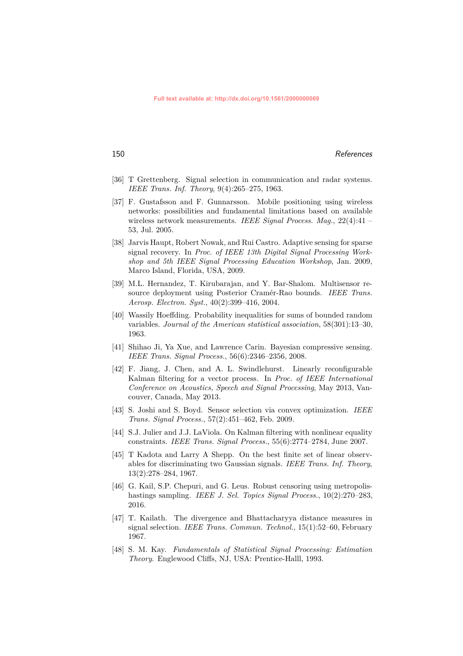- [36] T Grettenberg. Signal selection in communication and radar systems. *IEEE Trans. Inf. Theory*, 9(4):265–275, 1963.
- [37] F. Gustafsson and F. Gunnarsson. Mobile positioning using wireless networks: possibilities and fundamental limitations based on available wireless network measurements. *IEEE Signal Process. Mag.*, 22(4):41 – 53, Jul. 2005.
- [38] Jarvis Haupt, Robert Nowak, and Rui Castro. Adaptive sensing for sparse signal recovery. In *Proc. of IEEE 13th Digital Signal Processing Workshop and 5th IEEE Signal Processing Education Workshop*, Jan. 2009, Marco Island, Florida, USA, 2009.
- [39] M.L. Hernandez, T. Kirubarajan, and Y. Bar-Shalom. Multisensor resource deployment using Posterior Cramér-Rao bounds. *IEEE Trans. Aerosp. Electron. Syst.*, 40(2):399–416, 2004.
- [40] Wassily Hoeffding. Probability inequalities for sums of bounded random variables. *Journal of the American statistical association*, 58(301):13–30, 1963.
- [41] Shihao Ji, Ya Xue, and Lawrence Carin. Bayesian compressive sensing. *IEEE Trans. Signal Process.*, 56(6):2346–2356, 2008.
- [42] F. Jiang, J. Chen, and A. L. Swindlehurst. Linearly reconfigurable Kalman filtering for a vector process. In *Proc. of IEEE International Conference on Acoustics, Speech and Signal Processing*, May 2013, Vancouver, Canada, May 2013.
- [43] S. Joshi and S. Boyd. Sensor selection via convex optimization. *IEEE Trans. Signal Process.*, 57(2):451–462, Feb. 2009.
- [44] S.J. Julier and J.J. LaViola. On Kalman filtering with nonlinear equality constraints. *IEEE Trans. Signal Process.*, 55(6):2774–2784, June 2007.
- [45] T Kadota and Larry A Shepp. On the best finite set of linear observables for discriminating two Gaussian signals. *IEEE Trans. Inf. Theory*, 13(2):278–284, 1967.
- [46] G. Kail, S.P. Chepuri, and G. Leus. Robust censoring using metropolishastings sampling. *IEEE J. Sel. Topics Signal Process.*, 10(2):270–283, 2016.
- [47] T. Kailath. The divergence and Bhattacharyya distance measures in signal selection. *IEEE Trans. Commun. Technol.*, 15(1):52–60, February 1967.
- [48] S. M. Kay. *Fundamentals of Statistical Signal Processing: Estimation Theory*. Englewood Cliffs, NJ, USA: Prentice-Halll, 1993.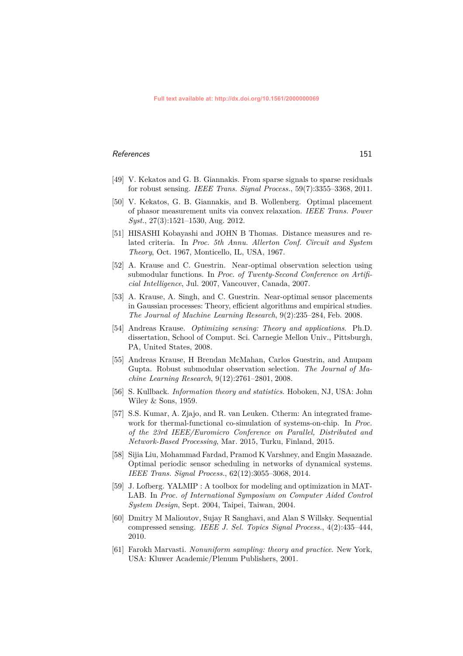- [49] V. Kekatos and G. B. Giannakis. From sparse signals to sparse residuals for robust sensing. *IEEE Trans. Signal Process.*, 59(7):3355–3368, 2011.
- [50] V. Kekatos, G. B. Giannakis, and B. Wollenberg. Optimal placement of phasor measurement units via convex relaxation. *IEEE Trans. Power Syst.*, 27(3):1521–1530, Aug. 2012.
- [51] HISASHI Kobayashi and JOHN B Thomas. Distance measures and related criteria. In *Proc. 5th Annu. Allerton Conf. Circuit and System Theory*, Oct. 1967, Monticello, IL, USA, 1967.
- [52] A. Krause and C. Guestrin. Near-optimal observation selection using submodular functions. In *Proc. of Twenty-Second Conference on Artificial Intelligence*, Jul. 2007, Vancouver, Canada, 2007.
- [53] A. Krause, A. Singh, and C. Guestrin. Near-optimal sensor placements in Gaussian processes: Theory, efficient algorithms and empirical studies. *The Journal of Machine Learning Research*, 9(2):235–284, Feb. 2008.
- [54] Andreas Krause. *Optimizing sensing: Theory and applications*. Ph.D. dissertation, School of Comput. Sci. Carnegie Mellon Univ., Pittsburgh, PA, United States, 2008.
- [55] Andreas Krause, H Brendan McMahan, Carlos Guestrin, and Anupam Gupta. Robust submodular observation selection. *The Journal of Machine Learning Research*, 9(12):2761–2801, 2008.
- [56] S. Kullback. *Information theory and statistics*. Hoboken, NJ, USA: John Wiley & Sons, 1959.
- <span id="page-21-0"></span>[57] S.S. Kumar, A. Zjajo, and R. van Leuken. Ctherm: An integrated framework for thermal-functional co-simulation of systems-on-chip. In *Proc. of the 23rd IEEE/Euromicro Conference on Parallel, Distributed and Network-Based Processing*, Mar. 2015, Turku, Finland, 2015.
- [58] Sijia Liu, Mohammad Fardad, Pramod K Varshney, and Engin Masazade. Optimal periodic sensor scheduling in networks of dynamical systems. *IEEE Trans. Signal Process.*, 62(12):3055–3068, 2014.
- [59] J. Lofberg. YALMIP : A toolbox for modeling and optimization in MAT-LAB. In *Proc. of International Symposium on Computer Aided Control System Design*, Sept. 2004, Taipei, Taiwan, 2004.
- [60] Dmitry M Malioutov, Sujay R Sanghavi, and Alan S Willsky. Sequential compressed sensing. *IEEE J. Sel. Topics Signal Process.*, 4(2):435–444, 2010.
- [61] Farokh Marvasti. *Nonuniform sampling: theory and practice*. New York, USA: Kluwer Academic/Plenum Publishers, 2001.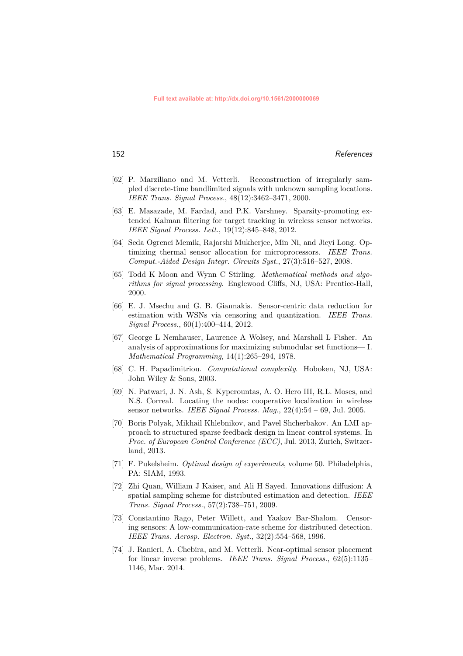- [62] P. Marziliano and M. Vetterli. Reconstruction of irregularly sampled discrete-time bandlimited signals with unknown sampling locations. *IEEE Trans. Signal Process.*, 48(12):3462–3471, 2000.
- [63] E. Masazade, M. Fardad, and P.K. Varshney. Sparsity-promoting extended Kalman filtering for target tracking in wireless sensor networks. *IEEE Signal Process. Lett.*, 19(12):845–848, 2012.
- <span id="page-22-1"></span>[64] Seda Ogrenci Memik, Rajarshi Mukherjee, Min Ni, and Jieyi Long. Optimizing thermal sensor allocation for microprocessors. *IEEE Trans. Comput.-Aided Design Integr. Circuits Syst.*, 27(3):516–527, 2008.
- [65] Todd K Moon and Wynn C Stirling. *Mathematical methods and algorithms for signal processing*. Englewood Cliffs, NJ, USA: Prentice-Hall, 2000.
- [66] E. J. Msechu and G. B. Giannakis. Sensor-centric data reduction for estimation with WSNs via censoring and quantization. *IEEE Trans. Signal Process.*, 60(1):400–414, 2012.
- [67] George L Nemhauser, Laurence A Wolsey, and Marshall L Fisher. An analysis of approximations for maximizing submodular set functions— I. *Mathematical Programming*, 14(1):265–294, 1978.
- [68] C. H. Papadimitriou. *Computational complexity*. Hoboken, NJ, USA: John Wiley & Sons, 2003.
- <span id="page-22-0"></span>[69] N. Patwari, J. N. Ash, S. Kyperountas, A. O. Hero III, R.L. Moses, and N.S. Correal. Locating the nodes: cooperative localization in wireless sensor networks. *IEEE Signal Process. Mag.*, 22(4):54 – 69, Jul. 2005.
- [70] Boris Polyak, Mikhail Khlebnikov, and Pavel Shcherbakov. An LMI approach to structured sparse feedback design in linear control systems. In *Proc. of European Control Conference (ECC)*, Jul. 2013, Zurich, Switzerland, 2013.
- [71] F. Pukelsheim. *Optimal design of experiments*, volume 50. Philadelphia, PA: SIAM, 1993.
- [72] Zhi Quan, William J Kaiser, and Ali H Sayed. Innovations diffusion: A spatial sampling scheme for distributed estimation and detection. *IEEE Trans. Signal Process.*, 57(2):738–751, 2009.
- [73] Constantino Rago, Peter Willett, and Yaakov Bar-Shalom. Censoring sensors: A low-communication-rate scheme for distributed detection. *IEEE Trans. Aerosp. Electron. Syst.*, 32(2):554–568, 1996.
- [74] J. Ranieri, A. Chebira, and M. Vetterli. Near-optimal sensor placement for linear inverse problems. *IEEE Trans. Signal Process.*, 62(5):1135– 1146, Mar. 2014.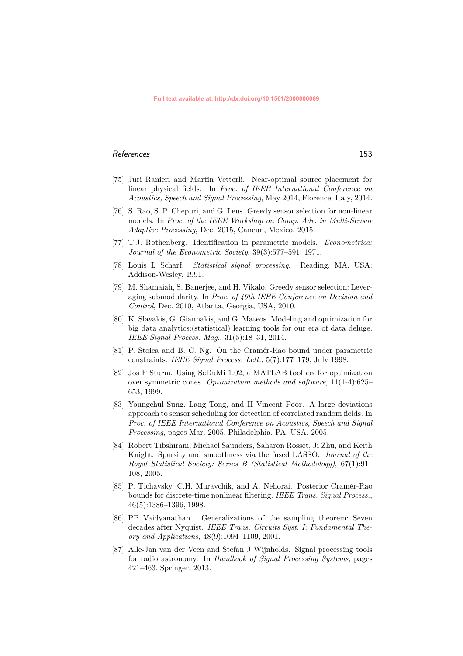- [75] Juri Ranieri and Martin Vetterli. Near-optimal source placement for linear physical fields. In *Proc. of IEEE International Conference on Acoustics, Speech and Signal Processing*, May 2014, Florence, Italy, 2014.
- [76] S. Rao, S. P. Chepuri, and G. Leus. Greedy sensor selection for non-linear models. In *Proc. of the IEEE Workshop on Comp. Adv. in Multi-Sensor Adaptive Processing*, Dec. 2015, Cancun, Mexico, 2015.
- [77] T.J. Rothenberg. Identification in parametric models. *Econometrica: Journal of the Econometric Society*, 39(3):577–591, 1971.
- [78] Louis L Scharf. *Statistical signal processing*. Reading, MA, USA: Addison-Wesley, 1991.
- [79] M. Shamaiah, S. Banerjee, and H. Vikalo. Greedy sensor selection: Leveraging submodularity. In *Proc. of 49th IEEE Conference on Decision and Control*, Dec. 2010, Atlanta, Georgia, USA, 2010.
- [80] K. Slavakis, G. Giannakis, and G. Mateos. Modeling and optimization for big data analytics:(statistical) learning tools for our era of data deluge. *IEEE Signal Process. Mag.*, 31(5):18–31, 2014.
- [81] P. Stoica and B. C. Ng. On the Cramér-Rao bound under parametric constraints. *IEEE Signal Process. Lett.*, 5(7):177–179, July 1998.
- [82] Jos F Sturm. Using SeDuMi 1.02, a MATLAB toolbox for optimization over symmetric cones. *Optimization methods and software*, 11(1-4):625– 653, 1999.
- [83] Youngchul Sung, Lang Tong, and H Vincent Poor. A large deviations approach to sensor scheduling for detection of correlated random fields. In *Proc. of IEEE International Conference on Acoustics, Speech and Signal Processing*, pages Mar. 2005, Philadelphia, PA, USA, 2005.
- [84] Robert Tibshirani, Michael Saunders, Saharon Rosset, Ji Zhu, and Keith Knight. Sparsity and smoothness via the fused LASSO. *Journal of the Royal Statistical Society: Series B (Statistical Methodology)*, 67(1):91– 108, 2005.
- [85] P. Tichavsky, C.H. Muravchik, and A. Nehorai. Posterior Cramér-Rao bounds for discrete-time nonlinear filtering. *IEEE Trans. Signal Process.*, 46(5):1386–1396, 1998.
- [86] PP Vaidyanathan. Generalizations of the sampling theorem: Seven decades after Nyquist. *IEEE Trans. Circuits Syst. I: Fundamental Theory and Applications*, 48(9):1094–1109, 2001.
- [87] Alle-Jan van der Veen and Stefan J Wijnholds. Signal processing tools for radio astronomy. In *Handbook of Signal Processing Systems*, pages 421–463. Springer, 2013.